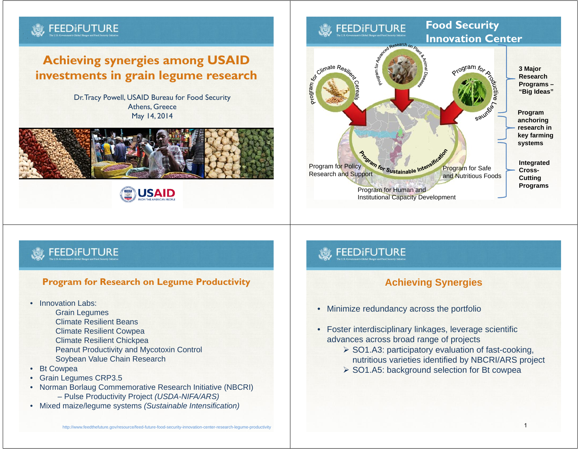# **Achieving synergies among USAID investments in grain legume research**

Dr. Tracy Powell, USAID Bureau for Food Security Athens, Greece May 14, 2014





#### **Food Security FFFDIFUTURE Innovation Center**otogram for **3 Major**



### **FEEDIFUTURE**

**FEEDIFUTURE** 

#### **Program for Research on Legume Productivity**

- Innovation Labs:
	- Grain Legumes
	- Climate Resilient Beans
	- Climate Resilient Cowpea
	- Climate Resilient Chickpea
	- Peanut Productivity and Mycotoxin Control Soybean Value Chain Research
- •Bt Cowpea
- •Grain Legumes CRP3.5
- • Norman Borlaug Commemorative Research Initiative (NBCRI) – Pulse Productivity Project *(USDA-NIFA/ARS)*
- Mixed maize/legume systems *(Sustainable Intensification)*

## **FEEDIFUTURE**

### **Achieving Synergies**

- Minimize redundancy across the portfolio
- Foster interdisciplinary linkages, leverage scientific advances across broad range of projects
	- $\geq$  SO1.A3: participatory evaluation of fast-cooking, nutritious varieties identified by NBCRI/ARS project
	- ▶ SO1.A5: background selection for Bt cowpea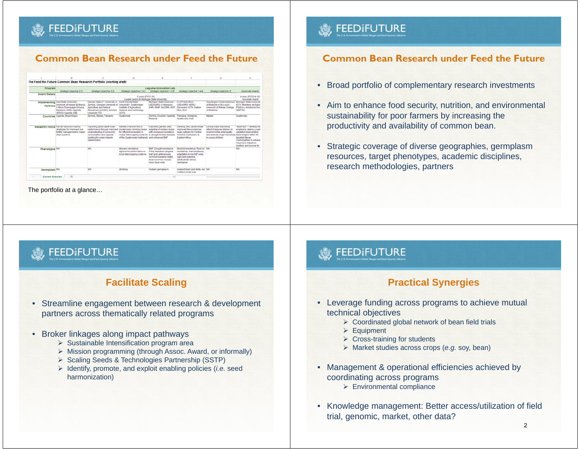## **FEED FUTURE**

#### **Common Bean Research under Feed the Future**

|                         |                                                                                                                                                     |                                                                                                                                                                                                | D                                                                                                                                                                |                                                                                                                                                                        |                                                                                                                                                                  | G                                                                                                                                                                     | $\mathbb{N}$                                                                                                                                                                  |
|-------------------------|-----------------------------------------------------------------------------------------------------------------------------------------------------|------------------------------------------------------------------------------------------------------------------------------------------------------------------------------------------------|------------------------------------------------------------------------------------------------------------------------------------------------------------------|------------------------------------------------------------------------------------------------------------------------------------------------------------------------|------------------------------------------------------------------------------------------------------------------------------------------------------------------|-----------------------------------------------------------------------------------------------------------------------------------------------------------------------|-------------------------------------------------------------------------------------------------------------------------------------------------------------------------------|
|                         |                                                                                                                                                     | The Feed the Future Common Bean Research Portfolio (working draft)                                                                                                                             |                                                                                                                                                                  |                                                                                                                                                                        |                                                                                                                                                                  |                                                                                                                                                                       |                                                                                                                                                                               |
| Program                 | (strategic objective 2.1)                                                                                                                           | (strategic objective 2.2)                                                                                                                                                                      | (strategic objective 1.41)                                                                                                                                       | Legume Innovation Lab<br>(strategic objective 1.43)                                                                                                                    | (strategic objective 1.44)                                                                                                                                       | (strategic objective 3)                                                                                                                                               | <b>Lissociale Awards</b>                                                                                                                                                      |
| <b>Award Details</b>    | 5 years (FY12-18)<br>Leader award its Michigan State University)                                                                                    |                                                                                                                                                                                                |                                                                                                                                                                  |                                                                                                                                                                        |                                                                                                                                                                  |                                                                                                                                                                       | 4 years (FY2014-18)<br>Associate Award                                                                                                                                        |
| <b>Partners</b>         | Implementing loss filte University*.<br>University of Hawaii @ Manoa.<br>U Illinoi Champaign-Urbana.<br>Makerere, NARL, Uganda.<br>VEDCO Uganda BAM | Kansas State LP, University of North Dakota State<br>Zambia, Lilongwe University of<br>Apriculture and Natural<br>Resources (LUANA), Sciicine<br>University (TZ)                               | University*, Custematan<br>Institute of Apricultural<br>Science and Technology<br>(ICTA)                                                                         | Michigan State University*<br>USDA/ARS. U Nebraska.<br>ZARI INAP, NACRRI KIST                                                                                          | U of Puerto Rico*<br>USDA/ARS, NDSU.<br>Zamorano ICTA Hallan<br>MoA SLIA                                                                                         | Washington UniversitySchool Michigan State University<br>of Medicine in St. Louis*.<br>University of Matawi College<br>of Madicina                                    | ICTA Ministerio de Saluc<br>Pública y Anistencia Soci<br>(MSPAS)                                                                                                              |
|                         | Countries Upants, Motambique                                                                                                                        | Zambia Malawi Tanzania                                                                                                                                                                         | Guatemata                                                                                                                                                        | Zambia, Ecuador, Uganda,<br>Rwanda                                                                                                                                     | Tanzania, Honduras,<br><b>Guatemala, Halt</b>                                                                                                                    | <b>Malawi</b>                                                                                                                                                         | Guatemata                                                                                                                                                                     |
|                         | Research Focus Farmer decision-making<br>strategies for improved poli-<br>fertility management in malce-<br>bean systems                            | Improving pulse value-chain<br>performance through improved Gualemalan climbing beans<br>understanding of consumer<br>consumption and capacity<br>building for pulse industry<br>stakeholders. | Geneb: improvement of<br>for efficient production in<br>maile intercropping systems to drought & foliar disease.<br>of the Guatemalan highlands and enhanced BNF | Improving genetic rield<br>potential of Andean beans<br>with increased resistance                                                                                      | Develop, test disseminate<br>Improved Messamerican<br>bean cultivars for Central<br>America Caribbean &<br>Eastern Africa                                        | Clinical blats examining<br>effect of legume intakes on<br>environmental entercoathy<br>and diversity of out microbiota factinologies within 30<br>in young children. | "MasFriss" - developme<br>emphasis: deploy a suiti<br>validated bean-related<br>taroeted Maran<br>municipalities to achieve<br>maximum impact on<br>multillion and income for |
| Phenotypes NA           |                                                                                                                                                     | <b>NA</b>                                                                                                                                                                                      | disease resistance.<br>agronomic performance in<br>local intercropping systems                                                                                   | <b><i>BfdF.</i></b> Drought resistance.<br>Foliar diseases (angular<br>leaf spot, anthracnose.<br>common bacterial blight.<br>bean common mosaic<br>verus, bean rusti- | Bruched resistence. Root rot 14th.<br>resistance, viral resistance.<br>adaptation to low NP solls.<br>yich yield potential.<br>abiobohiclic shess.<br>resistance |                                                                                                                                                                       | <b>TUR</b>                                                                                                                                                                    |
| Germplasm NA            |                                                                                                                                                     | <b>TEA</b>                                                                                                                                                                                     | dimbino                                                                                                                                                          | Andean germplasm                                                                                                                                                       | lowland black and white red NIA<br>motted, small reds                                                                                                            |                                                                                                                                                                       | NA                                                                                                                                                                            |
| Current Overview<br>- 1 | 面                                                                                                                                                   |                                                                                                                                                                                                |                                                                                                                                                                  | $\sqrt{+1}$                                                                                                                                                            |                                                                                                                                                                  |                                                                                                                                                                       |                                                                                                                                                                               |

The portfolio at a glance…

## **FEEDIFUTURE**

#### **Facilitate Scaling**

- Streamline engagement between research & development partners across thematically related programs
- Broker linkages along impact pathways
	- $\triangleright$  Sustainable Intensification program area
	- Mission programming (through Assoc. Award, or informally)
	- ▶ Scaling Seeds & Technologies Partnership (SSTP)
	- Identify, promote, and exploit enabling policies (*i.e.* seed harmonization)

### **FEEDIFUTURE**

#### **Common Bean Research under Feed the Future**

- Broad portfolio of complementary research investments
- Aim to enhance food security, nutrition, and environmental sustainability for poor farmers by increasing the productivity and availability of common bean.
- Strategic coverage of diverse geographies, germplasm resources, target phenotypes, academic disciplines, research methodologies, partners

### **FEEDIFUTURE**

#### **Practical Synergies**

- Leverage funding across programs to achieve mutual technical objectives
	- Coordinated global network of bean field trials
	- Equipment
	- Cross-training for students
	- Market studies across crops (*e.g.* soy, bean)
- Management & operational efficiencies achieved by coordinating across programs
	- Environmental compliance
- Knowledge management: Better access/utilization of field trial, genomic, market, other data?